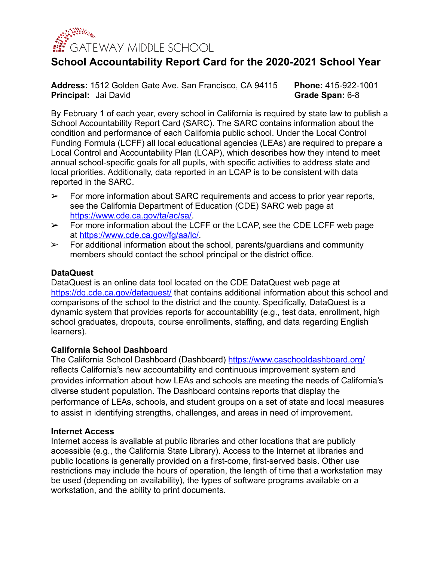

# **School Accountability Report Card for the 2020-2021 School Year**

**Address:** 1512 Golden Gate Ave. San Francisco, CA 94115 **Phone:** 415-922-1001 **Principal:** Jai David **Grade Span:** 6-8

By February 1 of each year, every school in California is required by state law to publish a School Accountability Report Card (SARC). The SARC contains information about the condition and performance of each California public school. Under the Local Control Funding Formula (LCFF) all local educational agencies (LEAs) are required to prepare a Local Control and Accountability Plan (LCAP), which describes how they intend to meet annual school-specific goals for all pupils, with specific activities to address state and local priorities. Additionally, data reported in an LCAP is to be consistent with data reported in the SARC.

- $\triangleright$  For more information about SARC requirements and access to prior year reports, see the California Department of Education (CDE) SARC web page at [https://www.cde.ca.gov/ta/ac/sa/.](https://www.cde.ca.gov/ta/ac/sa/)
- $\geq$  For more information about the LCFF or the LCAP, see the CDE LCFF web page at <https://www.cde.ca.gov/fg/aa/lc/>.
- $\triangleright$  For additional information about the school, parents/guardians and community members should contact the school principal or the district office.

### **DataQuest**

DataQuest is an online data tool located on the CDE DataQuest web page at <https://dq.cde.ca.gov/dataquest/> that contains additional information about this school and comparisons of the school to the district and the county. Specifically, DataQuest is a dynamic system that provides reports for accountability (e.g., test data, enrollment, high school graduates, dropouts, course enrollments, staffing, and data regarding English learners).

### **California School Dashboard**

The California School Dashboard (Dashboard) <https://www.caschooldashboard.org/> reflects California's new accountability and continuous improvement system and provides information about how LEAs and schools are meeting the needs of California's diverse student population. The Dashboard contains reports that display the performance of LEAs, schools, and student groups on a set of state and local measures to assist in identifying strengths, challenges, and areas in need of improvement.

### **Internet Access**

Internet access is available at public libraries and other locations that are publicly accessible (e.g., the California State Library). Access to the Internet at libraries and public locations is generally provided on a first-come, first-served basis. Other use restrictions may include the hours of operation, the length of time that a workstation may be used (depending on availability), the types of software programs available on a workstation, and the ability to print documents.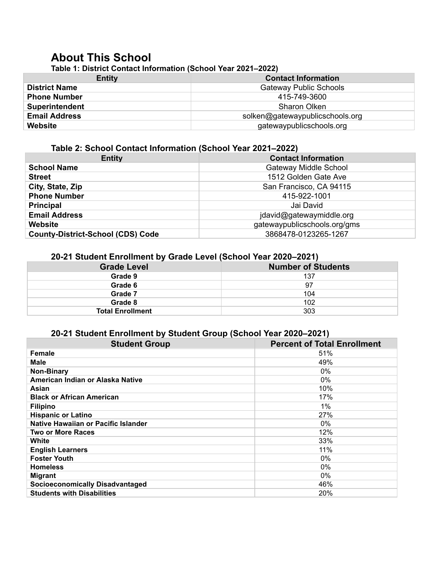# **About This School**

**Table 1: District Contact Information (School Year 2021–2022)**

| <b>Contact Information</b>      |  |  |  |  |
|---------------------------------|--|--|--|--|
| <b>Gateway Public Schools</b>   |  |  |  |  |
| 415-749-3600                    |  |  |  |  |
| Sharon Olken                    |  |  |  |  |
| solken@gatewaypublicschools.org |  |  |  |  |
| gatewaypublicschools.org        |  |  |  |  |
|                                 |  |  |  |  |

### **Table 2: School Contact Information (School Year 2021–2022)**

| <b>Entity</b>                            | <b>Contact Information</b>   |
|------------------------------------------|------------------------------|
| <b>School Name</b>                       | Gateway Middle School        |
| <b>Street</b>                            | 1512 Golden Gate Ave         |
| City, State, Zip                         | San Francisco, CA 94115      |
| <b>Phone Number</b>                      | 415-922-1001                 |
| <b>Principal</b>                         | Jai David                    |
| <b>Email Address</b>                     | jdavid@gatewaymiddle.org     |
| <b>Website</b>                           | gatewaypublicschools.org/gms |
| <b>County-District-School (CDS) Code</b> | 3868478-0123265-1267         |

### **20-21 Student Enrollment by Grade Level (School Year 2020–2021)**

| <b>Number of Students</b> |
|---------------------------|
| 137                       |
| 97                        |
| 104                       |
| 102                       |
| 303                       |
|                           |

### **20-21 Student Enrollment by Student Group (School Year 2020–2021)**

| <b>Student Group</b>                   | <b>Percent of Total Enrollment</b> |
|----------------------------------------|------------------------------------|
| <b>Female</b>                          | 51%                                |
| <b>Male</b>                            | 49%                                |
| <b>Non-Binary</b>                      | $0\%$                              |
| American Indian or Alaska Native       | $0\%$                              |
| Asian                                  | 10%                                |
| <b>Black or African American</b>       | 17%                                |
| <b>Filipino</b>                        | $1\%$                              |
| <b>Hispanic or Latino</b>              | 27%                                |
| Native Hawaiian or Pacific Islander    | $0\%$                              |
| <b>Two or More Races</b>               | 12%                                |
| White                                  | 33%                                |
| <b>English Learners</b>                | 11%                                |
| <b>Foster Youth</b>                    | $0\%$                              |
| <b>Homeless</b>                        | $0\%$                              |
| <b>Migrant</b>                         | $0\%$                              |
| <b>Socioeconomically Disadvantaged</b> | 46%                                |
| <b>Students with Disabilities</b>      | <b>20%</b>                         |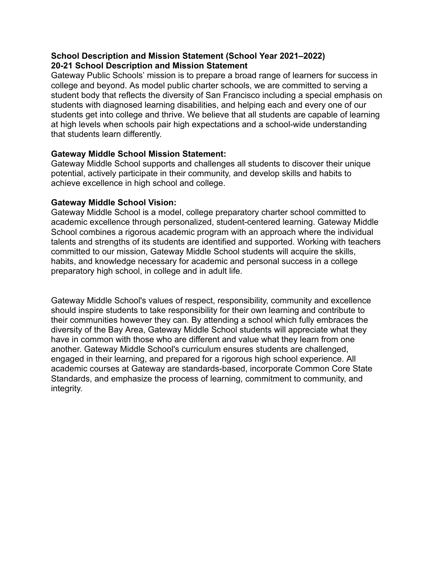### **School Description and Mission Statement (School Year 2021–2022) 20-21 School Description and Mission Statement**

Gateway Public Schools' mission is to prepare a broad range of learners for success in college and beyond. As model public charter schools, we are committed to serving a student body that reflects the diversity of San Francisco including a special emphasis on students with diagnosed learning disabilities, and helping each and every one of our students get into college and thrive. We believe that all students are capable of learning at high levels when schools pair high expectations and a school-wide understanding that students learn differently.

### **Gateway Middle School Mission Statement:**

Gateway Middle School supports and challenges all students to discover their unique potential, actively participate in their community, and develop skills and habits to achieve excellence in high school and college.

### **Gateway Middle School Vision:**

Gateway Middle School is a model, college preparatory charter school committed to academic excellence through personalized, student-centered learning. Gateway Middle School combines a rigorous academic program with an approach where the individual talents and strengths of its students are identified and supported. Working with teachers committed to our mission, Gateway Middle School students will acquire the skills, habits, and knowledge necessary for academic and personal success in a college preparatory high school, in college and in adult life.

Gateway Middle School's values of respect, responsibility, community and excellence should inspire students to take responsibility for their own learning and contribute to their communities however they can. By attending a school which fully embraces the diversity of the Bay Area, Gateway Middle School students will appreciate what they have in common with those who are different and value what they learn from one another. Gateway Middle School's curriculum ensures students are challenged, engaged in their learning, and prepared for a rigorous high school experience. All academic courses at Gateway are standards-based, incorporate Common Core State Standards, and emphasize the process of learning, commitment to community, and integrity.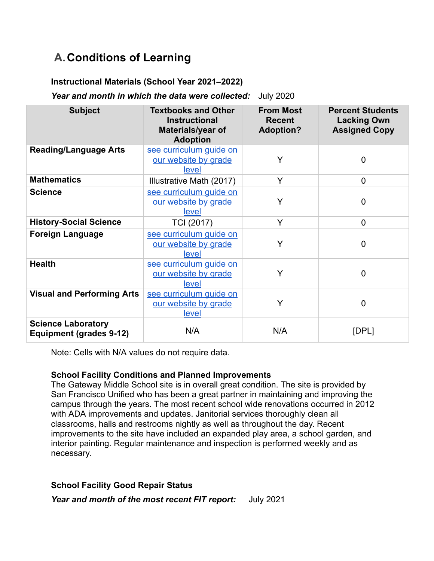# **A.Conditions of Learning**

### **Instructional Materials (School Year 2021–2022)**

*Year and month in which the data were collected:* July 2020

| <b>Subject</b>                                              | <b>Textbooks and Other</b><br><b>Instructional</b><br>Materials/year of<br><b>Adoption</b> | <b>From Most</b><br><b>Recent</b><br><b>Adoption?</b> | <b>Percent Students</b><br><b>Lacking Own</b><br><b>Assigned Copy</b> |
|-------------------------------------------------------------|--------------------------------------------------------------------------------------------|-------------------------------------------------------|-----------------------------------------------------------------------|
| <b>Reading/Language Arts</b>                                | see curriculum quide on<br>our website by grade<br>level                                   | Y                                                     | 0                                                                     |
| <b>Mathematics</b>                                          | Illustrative Math (2017)                                                                   | Y                                                     | $\overline{0}$                                                        |
| <b>Science</b>                                              | see curriculum quide on<br>our website by grade<br>level                                   | Y                                                     | $\Omega$                                                              |
| <b>History-Social Science</b>                               | TCI (2017)                                                                                 | Y                                                     | $\overline{0}$                                                        |
| <b>Foreign Language</b>                                     | see curriculum guide on<br>our website by grade<br>level                                   | Y                                                     | $\overline{0}$                                                        |
| <b>Health</b>                                               | see curriculum guide on<br>our website by grade<br>level                                   | Y                                                     | $\overline{0}$                                                        |
| <b>Visual and Performing Arts</b>                           | see curriculum guide on<br>our website by grade<br>level                                   | Y                                                     | 0                                                                     |
| <b>Science Laboratory</b><br><b>Equipment (grades 9-12)</b> | N/A                                                                                        | N/A                                                   | [DPL]                                                                 |

Note: Cells with N/A values do not require data.

### **School Facility Conditions and Planned Improvements**

The Gateway Middle School site is in overall great condition. The site is provided by San Francisco Unified who has been a great partner in maintaining and improving the campus through the years. The most recent school wide renovations occurred in 2012 with ADA improvements and updates. Janitorial services thoroughly clean all classrooms, halls and restrooms nightly as well as throughout the day. Recent improvements to the site have included an expanded play area, a school garden, and interior painting. Regular maintenance and inspection is performed weekly and as necessary.

### **School Facility Good Repair Status**

*Year and month of the most recent FIT report:* July 2021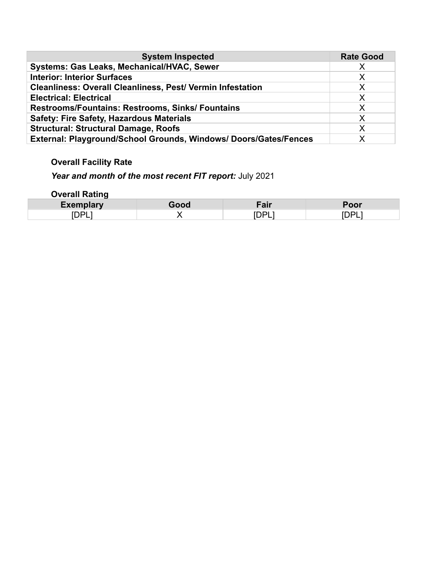| <b>System Inspected</b>                                           | <b>Rate Good</b> |
|-------------------------------------------------------------------|------------------|
| Systems: Gas Leaks, Mechanical/HVAC, Sewer                        | X                |
| <b>Interior: Interior Surfaces</b>                                | X                |
| <b>Cleanliness: Overall Cleanliness, Pest/ Vermin Infestation</b> | X                |
| <b>Electrical: Electrical</b>                                     | X                |
| <b>Restrooms/Fountains: Restrooms, Sinks/ Fountains</b>           | X                |
| <b>Safety: Fire Safety, Hazardous Materials</b>                   | X                |
| <b>Structural: Structural Damage, Roofs</b>                       | X                |
| External: Playground/School Grounds, Windows/ Doors/Gates/Fences  | X                |

### **Overall Facility Rate**

# *Year and month of the most recent FIT report:* July 2021

**Overall Rating**

| .xemplary<br>EYA       | .<br><u></u> | ---           |
|------------------------|--------------|---------------|
| $\sim$<br>⊶י<br>◡<br>_ | ້<br>-       | <u>.</u><br>- |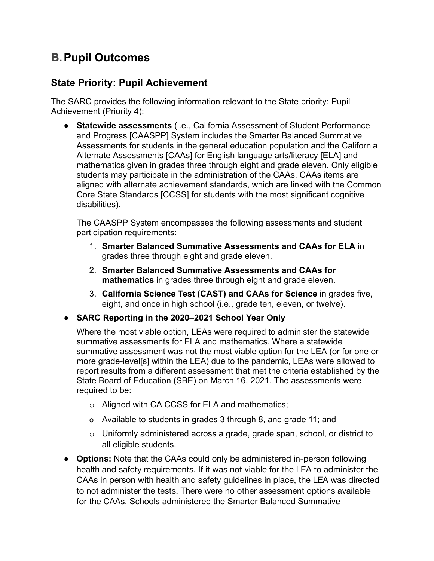# **B.Pupil Outcomes**

### **State Priority: Pupil Achievement**

The SARC provides the following information relevant to the State priority: Pupil Achievement (Priority 4):

● **Statewide assessments** (i.e., California Assessment of Student Performance and Progress [CAASPP] System includes the Smarter Balanced Summative Assessments for students in the general education population and the California Alternate Assessments [CAAs] for English language arts/literacy [ELA] and mathematics given in grades three through eight and grade eleven. Only eligible students may participate in the administration of the CAAs. CAAs items are aligned with alternate achievement standards, which are linked with the Common Core State Standards [CCSS] for students with the most significant cognitive disabilities).

The CAASPP System encompasses the following assessments and student participation requirements:

- 1. **Smarter Balanced Summative Assessments and CAAs for ELA** in grades three through eight and grade eleven.
- 2. **Smarter Balanced Summative Assessments and CAAs for mathematics** in grades three through eight and grade eleven.
- 3. **California Science Test (CAST) and CAAs for Science** in grades five, eight, and once in high school (i.e., grade ten, eleven, or twelve).
- **SARC Reporting in the 2020–2021 School Year Only**

Where the most viable option, LEAs were required to administer the statewide summative assessments for ELA and mathematics. Where a statewide summative assessment was not the most viable option for the LEA (or for one or more grade-level[s] within the LEA) due to the pandemic, LEAs were allowed to report results from a different assessment that met the criteria established by the State Board of Education (SBE) on March 16, 2021. The assessments were required to be:

- o Aligned with CA CCSS for ELA and mathematics;
- o Available to students in grades 3 through 8, and grade 11; and
- o Uniformly administered across a grade, grade span, school, or district to all eligible students.
- **Options:** Note that the CAAs could only be administered in-person following health and safety requirements. If it was not viable for the LEA to administer the CAAs in person with health and safety guidelines in place, the LEA was directed to not administer the tests. There were no other assessment options available for the CAAs. Schools administered the Smarter Balanced Summative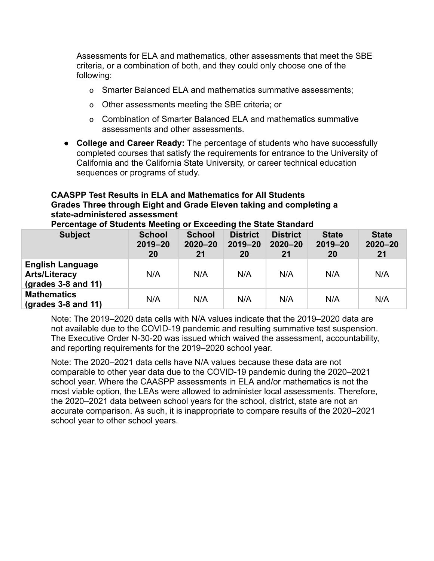Assessments for ELA and mathematics, other assessments that meet the SBE criteria, or a combination of both, and they could only choose one of the following:

- o Smarter Balanced ELA and mathematics summative assessments;
- o Other assessments meeting the SBE criteria; or
- o Combination of Smarter Balanced ELA and mathematics summative assessments and other assessments.
- **College and Career Ready:** The percentage of students who have successfully completed courses that satisfy the requirements for entrance to the University of California and the California State University, or career technical education sequences or programs of study.

### **CAASPP Test Results in ELA and Mathematics for All Students Grades Three through Eight and Grade Eleven taking and completing a state-administered assessment**

**Percentage of Students Meeting or Exceeding the State Standard**

| <b>Subject</b>                                                                 | <b>School</b><br>2019-20<br><b>20</b> | <b>School</b><br>$2020 - 20$<br>21 | <b>District</b><br>$2019 - 20$<br>20 | <b>District</b><br>$2020 - 20$<br>21 | <b>State</b><br>$2019 - 20$<br><b>20</b> | <b>State</b><br>$2020 - 20$<br>21 |
|--------------------------------------------------------------------------------|---------------------------------------|------------------------------------|--------------------------------------|--------------------------------------|------------------------------------------|-----------------------------------|
| <b>English Language</b><br><b>Arts/Literacy</b><br>$\left($ grades 3-8 and 11) | N/A                                   | N/A                                | N/A                                  | N/A                                  | N/A                                      | N/A                               |
| <b>Mathematics</b><br>$\left($ grades 3-8 and 11)                              | N/A                                   | N/A                                | N/A                                  | N/A                                  | N/A                                      | N/A                               |

Note: The 2019–2020 data cells with N/A values indicate that the 2019–2020 data are not available due to the COVID-19 pandemic and resulting summative test suspension. The Executive Order N-30-20 was issued which waived the assessment, accountability, and reporting requirements for the 2019–2020 school year.

Note: The 2020–2021 data cells have N/A values because these data are not comparable to other year data due to the COVID-19 pandemic during the 2020–2021 school year. Where the CAASPP assessments in ELA and/or mathematics is not the most viable option, the LEAs were allowed to administer local assessments. Therefore, the 2020–2021 data between school years for the school, district, state are not an accurate comparison. As such, it is inappropriate to compare results of the 2020–2021 school year to other school years.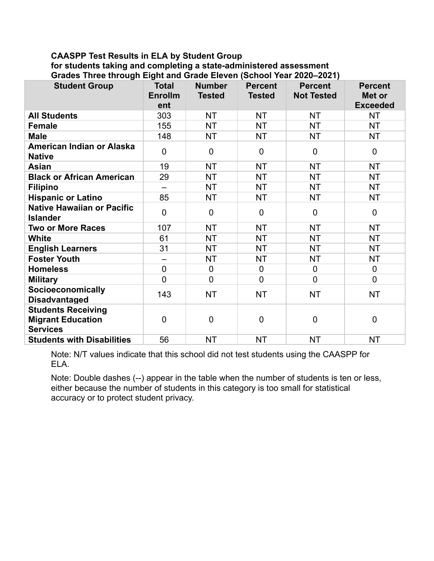### **CAASPP Test Results in ELA by Student Group for students taking and completing a state-administered assessment Grades Three through Eight and Grade Eleven (School Year 2020–2021)**

| <b>Student Group</b>                                                     | <b>Total</b><br><b>Enrollm</b><br>ent | <b>Number</b><br><b>Tested</b> | <b>Percent</b><br><b>Tested</b> | <b>Percent</b><br><b>Not Tested</b> | <b>Percent</b><br>Met or<br><b>Exceeded</b> |
|--------------------------------------------------------------------------|---------------------------------------|--------------------------------|---------------------------------|-------------------------------------|---------------------------------------------|
| <b>All Students</b>                                                      | 303                                   | <b>NT</b>                      | <b>NT</b>                       | <b>NT</b>                           | <b>NT</b>                                   |
| <b>Female</b>                                                            | 155                                   | <b>NT</b>                      | <b>NT</b>                       | <b>NT</b>                           | <b>NT</b>                                   |
| <b>Male</b>                                                              | 148                                   | <b>NT</b>                      | <b>NT</b>                       | <b>NT</b>                           | <b>NT</b>                                   |
| American Indian or Alaska<br><b>Native</b>                               | $\overline{0}$                        | $\overline{0}$                 | $\overline{0}$                  | $\overline{0}$                      | $\overline{0}$                              |
| <b>Asian</b>                                                             | 19                                    | <b>NT</b>                      | <b>NT</b>                       | <b>NT</b>                           | <b>NT</b>                                   |
| <b>Black or African American</b>                                         | 29                                    | <b>NT</b>                      | <b>NT</b>                       | <b>NT</b>                           | <b>NT</b>                                   |
| <b>Filipino</b>                                                          | $\overline{\phantom{0}}$              | <b>NT</b>                      | <b>NT</b>                       | <b>NT</b>                           | <b>NT</b>                                   |
| <b>Hispanic or Latino</b>                                                | 85                                    | <b>NT</b>                      | <b>NT</b>                       | <b>NT</b>                           | <b>NT</b>                                   |
| <b>Native Hawaiian or Pacific</b><br><b>Islander</b>                     | $\overline{0}$                        | $\mathbf 0$                    | $\mathbf 0$                     | $\overline{0}$                      | $\mathbf 0$                                 |
| <b>Two or More Races</b>                                                 | 107                                   | <b>NT</b>                      | <b>NT</b>                       | <b>NT</b>                           | <b>NT</b>                                   |
| White                                                                    | 61                                    | <b>NT</b>                      | <b>NT</b>                       | <b>NT</b>                           | <b>NT</b>                                   |
| <b>English Learners</b>                                                  | 31                                    | <b>NT</b>                      | <b>NT</b>                       | NT.                                 | <b>NT</b>                                   |
| <b>Foster Youth</b>                                                      | $\overline{\phantom{0}}$              | <b>NT</b>                      | <b>NT</b>                       | <b>NT</b>                           | <b>NT</b>                                   |
| <b>Homeless</b>                                                          | $\overline{0}$                        | $\mathbf 0$                    | $\mathbf 0$                     | $\mathbf 0$                         | $\mathbf 0$                                 |
| <b>Military</b>                                                          | $\overline{0}$                        | $\overline{0}$                 | $\overline{0}$                  | $\overline{0}$                      | $\mathbf 0$                                 |
| Socioeconomically<br><b>Disadvantaged</b>                                | 143                                   | <b>NT</b>                      | <b>NT</b>                       | <b>NT</b>                           | <b>NT</b>                                   |
| <b>Students Receiving</b><br><b>Migrant Education</b><br><b>Services</b> | $\overline{0}$                        | $\overline{0}$                 | $\mathbf 0$                     | $\overline{0}$                      | $\overline{0}$                              |
| <b>Students with Disabilities</b>                                        | 56                                    | <b>NT</b>                      | <b>NT</b>                       | <b>NT</b>                           | <b>NT</b>                                   |

Note: N/T values indicate that this school did not test students using the CAASPP for ELA.

Note: Double dashes (--) appear in the table when the number of students is ten or less, either because the number of students in this category is too small for statistical accuracy or to protect student privacy.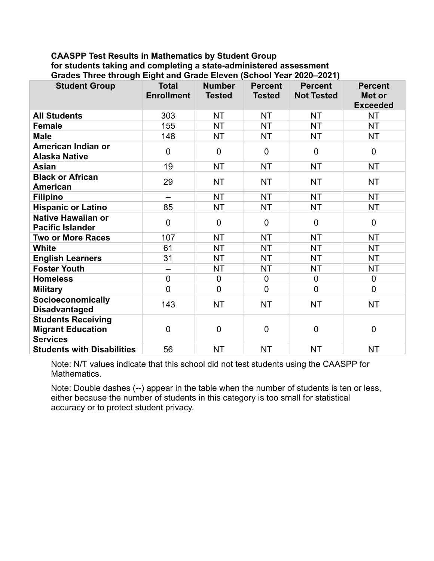### **CAASPP Test Results in Mathematics by Student Group for students taking and completing a state-administered assessment Grades Three through Eight and Grade Eleven (School Year 2020–2021)**

| <b>Student Group</b>                                                     | <b>Total</b><br><b>Enrollment</b> | <b>Number</b><br><b>Tested</b> | <b>Percent</b><br><b>Tested</b> | <b>Percent</b><br><b>Not Tested</b> | <b>Percent</b><br>Met or<br><b>Exceeded</b> |
|--------------------------------------------------------------------------|-----------------------------------|--------------------------------|---------------------------------|-------------------------------------|---------------------------------------------|
| <b>All Students</b>                                                      | 303                               | <b>NT</b>                      | <b>NT</b>                       | <b>NT</b>                           | NT                                          |
| <b>Female</b>                                                            | 155                               | <b>NT</b>                      | <b>NT</b>                       | <b>NT</b>                           | <b>NT</b>                                   |
| <b>Male</b>                                                              | 148                               | <b>NT</b>                      | <b>NT</b>                       | <b>NT</b>                           | <b>NT</b>                                   |
| American Indian or<br><b>Alaska Native</b>                               | $\mathbf 0$                       | $\mathbf 0$                    | $\mathbf 0$                     | $\mathbf 0$                         | $\mathbf 0$                                 |
| <b>Asian</b>                                                             | 19                                | <b>NT</b>                      | <b>NT</b>                       | <b>NT</b>                           | <b>NT</b>                                   |
| <b>Black or African</b><br>American                                      | 29                                | <b>NT</b>                      | <b>NT</b>                       | <b>NT</b>                           | <b>NT</b>                                   |
| <b>Filipino</b>                                                          | $\overline{\phantom{0}}$          | <b>NT</b>                      | <b>NT</b>                       | <b>NT</b>                           | <b>NT</b>                                   |
| <b>Hispanic or Latino</b>                                                | 85                                | <b>NT</b>                      | <b>NT</b>                       | <b>NT</b>                           | <b>NT</b>                                   |
| <b>Native Hawaiian or</b><br><b>Pacific Islander</b>                     | $\overline{0}$                    | $\overline{0}$                 | $\overline{0}$                  | $\overline{0}$                      | $\overline{0}$                              |
| <b>Two or More Races</b>                                                 | 107                               | <b>NT</b>                      | <b>NT</b>                       | <b>NT</b>                           | <b>NT</b>                                   |
| <b>White</b>                                                             | 61                                | <b>NT</b>                      | <b>NT</b>                       | <b>NT</b>                           | <b>NT</b>                                   |
| <b>English Learners</b>                                                  | 31                                | <b>NT</b>                      | <b>NT</b>                       | <b>NT</b>                           | <b>NT</b>                                   |
| <b>Foster Youth</b>                                                      | $\qquad \qquad -$                 | <b>NT</b>                      | <b>NT</b>                       | <b>NT</b>                           | NT.                                         |
| <b>Homeless</b>                                                          | $\mathbf 0$                       | $\mathbf 0$                    | $\mathbf 0$                     | $\mathbf 0$                         | $\mathbf 0$                                 |
| <b>Military</b>                                                          | $\overline{0}$                    | $\overline{0}$                 | $\overline{0}$                  | $\overline{0}$                      | $\overline{0}$                              |
| Socioeconomically<br><b>Disadvantaged</b>                                | 143                               | <b>NT</b>                      | <b>NT</b>                       | <b>NT</b>                           | <b>NT</b>                                   |
| <b>Students Receiving</b><br><b>Migrant Education</b><br><b>Services</b> | $\overline{0}$                    | $\overline{0}$                 | $\overline{0}$                  | $\overline{0}$                      | $\mathbf 0$                                 |
| <b>Students with Disabilities</b>                                        | 56                                | <b>NT</b>                      | <b>NT</b>                       | <b>NT</b>                           | <b>NT</b>                                   |

Note: N/T values indicate that this school did not test students using the CAASPP for Mathematics.

Note: Double dashes (--) appear in the table when the number of students is ten or less, either because the number of students in this category is too small for statistical accuracy or to protect student privacy.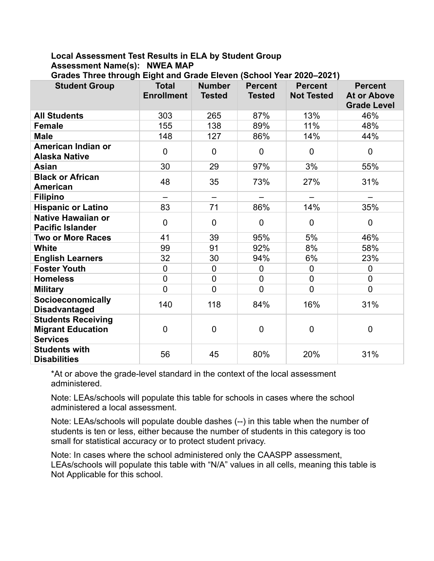### **Local Assessment Test Results in ELA by Student Group Assessment Name(s): NWEA MAP**

| Ulauto Tilltt ullvuğlı Liğik anu Olaut Litveli (Ochool Teal Zuzu-Zuz I)  |                                   |                                |                                 |                                     |                                                            |
|--------------------------------------------------------------------------|-----------------------------------|--------------------------------|---------------------------------|-------------------------------------|------------------------------------------------------------|
| <b>Student Group</b>                                                     | <b>Total</b><br><b>Enrollment</b> | <b>Number</b><br><b>Tested</b> | <b>Percent</b><br><b>Tested</b> | <b>Percent</b><br><b>Not Tested</b> | <b>Percent</b><br><b>At or Above</b><br><b>Grade Level</b> |
| <b>All Students</b>                                                      | 303                               | 265                            | 87%                             | 13%                                 | 46%                                                        |
| <b>Female</b>                                                            | 155                               | 138                            | 89%                             | 11%                                 | 48%                                                        |
| <b>Male</b>                                                              | 148                               | 127                            | 86%                             | 14%                                 | 44%                                                        |
| American Indian or<br><b>Alaska Native</b>                               | $\overline{0}$                    | $\overline{0}$                 | 0                               | $\mathbf 0$                         | $\mathbf 0$                                                |
| Asian                                                                    | 30                                | 29                             | 97%                             | 3%                                  | 55%                                                        |
| <b>Black or African</b><br><b>American</b>                               | 48                                | 35                             | 73%                             | 27%                                 | 31%                                                        |
| <b>Filipino</b>                                                          |                                   | $\qquad \qquad -$              |                                 |                                     |                                                            |
| <b>Hispanic or Latino</b>                                                | 83                                | 71                             | 86%                             | 14%                                 | 35%                                                        |
| <b>Native Hawaiian or</b><br><b>Pacific Islander</b>                     | $\overline{0}$                    | $\mathbf 0$                    | $\mathbf 0$                     | $\mathbf 0$                         | $\pmb{0}$                                                  |
| <b>Two or More Races</b>                                                 | 41                                | 39                             | 95%                             | 5%                                  | 46%                                                        |
| <b>White</b>                                                             | 99                                | 91                             | 92%                             | 8%                                  | 58%                                                        |
| <b>English Learners</b>                                                  | 32                                | 30                             | 94%                             | 6%                                  | 23%                                                        |
| <b>Foster Youth</b>                                                      | $\overline{0}$                    | $\mathbf 0$                    | $\pmb{0}$                       | $\mathbf 0$                         | $\boldsymbol{0}$                                           |
| <b>Homeless</b>                                                          | $\overline{0}$                    | $\overline{0}$                 | 0                               | $\mathbf 0$                         | $\mathbf 0$                                                |
| <b>Military</b>                                                          | $\overline{0}$                    | $\overline{0}$                 | $\overline{0}$                  | $\mathbf 0$                         | $\mathbf 0$                                                |
| Socioeconomically<br><b>Disadvantaged</b>                                | 140                               | 118                            | 84%                             | 16%                                 | 31%                                                        |
| <b>Students Receiving</b><br><b>Migrant Education</b><br><b>Services</b> | $\overline{0}$                    | $\mathbf 0$                    | $\mathbf 0$                     | 0                                   | 0                                                          |
| <b>Students with</b><br><b>Disabilities</b>                              | 56                                | 45                             | 80%                             | 20%                                 | 31%                                                        |

**Grades Three through Eight and Grade Eleven (School Year 2020–2021)**

\*At or above the grade-level standard in the context of the local assessment administered.

Note: LEAs/schools will populate this table for schools in cases where the school administered a local assessment.

Note: LEAs/schools will populate double dashes (--) in this table when the number of students is ten or less, either because the number of students in this category is too small for statistical accuracy or to protect student privacy.

Note: In cases where the school administered only the CAASPP assessment, LEAs/schools will populate this table with "N/A" values in all cells, meaning this table is Not Applicable for this school.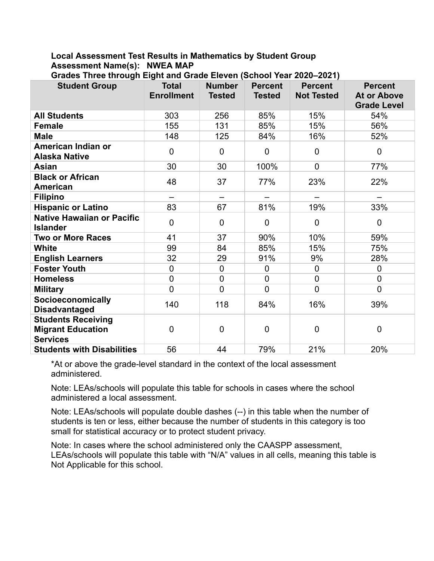### **Local Assessment Test Results in Mathematics by Student Group Assessment Name(s): NWEA MAP**

| <b>Student Group</b>                                                     | <b>Total</b><br><b>Enrollment</b> | <b>Number</b><br><b>Tested</b> | <b>Percent</b><br><b>Tested</b> | <b>Percent</b><br><b>Not Tested</b> | <b>Percent</b><br><b>At or Above</b><br><b>Grade Level</b> |
|--------------------------------------------------------------------------|-----------------------------------|--------------------------------|---------------------------------|-------------------------------------|------------------------------------------------------------|
| <b>All Students</b>                                                      | 303                               | 256                            | 85%                             | 15%                                 | 54%                                                        |
| <b>Female</b>                                                            | 155                               | 131                            | 85%                             | 15%                                 | 56%                                                        |
| <b>Male</b>                                                              | 148                               | 125                            | 84%                             | 16%                                 | 52%                                                        |
| American Indian or<br><b>Alaska Native</b>                               | $\mathbf 0$                       | $\overline{0}$                 | $\overline{0}$                  | $\mathbf 0$                         | $\overline{0}$                                             |
| <b>Asian</b>                                                             | 30                                | 30                             | 100%                            | $\overline{0}$                      | 77%                                                        |
| <b>Black or African</b><br><b>American</b>                               | 48                                | 37                             | 77%                             | 23%                                 | 22%                                                        |
| <b>Filipino</b>                                                          |                                   |                                |                                 |                                     |                                                            |
| <b>Hispanic or Latino</b>                                                | 83                                | 67                             | 81%                             | 19%                                 | 33%                                                        |
| <b>Native Hawaiian or Pacific</b><br><b>Islander</b>                     | 0                                 | $\overline{0}$                 | $\Omega$                        | $\mathbf 0$                         | $\overline{0}$                                             |
| <b>Two or More Races</b>                                                 | 41                                | 37                             | 90%                             | 10%                                 | 59%                                                        |
| <b>White</b>                                                             | 99                                | 84                             | 85%                             | 15%                                 | 75%                                                        |
| <b>English Learners</b>                                                  | 32                                | 29                             | 91%                             | 9%                                  | 28%                                                        |
| <b>Foster Youth</b>                                                      | $\overline{0}$                    | $\overline{0}$                 | $\overline{0}$                  | $\overline{0}$                      | $\Omega$                                                   |
| <b>Homeless</b>                                                          | 0                                 | $\overline{0}$                 | $\overline{0}$                  | $\mathbf 0$                         | $\overline{0}$                                             |
| <b>Military</b>                                                          | $\overline{0}$                    | $\overline{0}$                 | $\overline{0}$                  | $\overline{0}$                      | $\overline{0}$                                             |
| Socioeconomically<br><b>Disadvantaged</b>                                | 140                               | 118                            | 84%                             | 16%                                 | 39%                                                        |
| <b>Students Receiving</b><br><b>Migrant Education</b><br><b>Services</b> | 0                                 | 0                              | $\Omega$                        | $\overline{0}$                      | $\overline{0}$                                             |
| <b>Students with Disabilities</b>                                        | 56                                | 44                             | 79%                             | 21%                                 | 20%                                                        |

**Grades Three through Eight and Grade Eleven (School Year 2020–2021)**

\*At or above the grade-level standard in the context of the local assessment administered.

Note: LEAs/schools will populate this table for schools in cases where the school administered a local assessment.

Note: LEAs/schools will populate double dashes (--) in this table when the number of students is ten or less, either because the number of students in this category is too small for statistical accuracy or to protect student privacy.

Note: In cases where the school administered only the CAASPP assessment, LEAs/schools will populate this table with "N/A" values in all cells, meaning this table is Not Applicable for this school.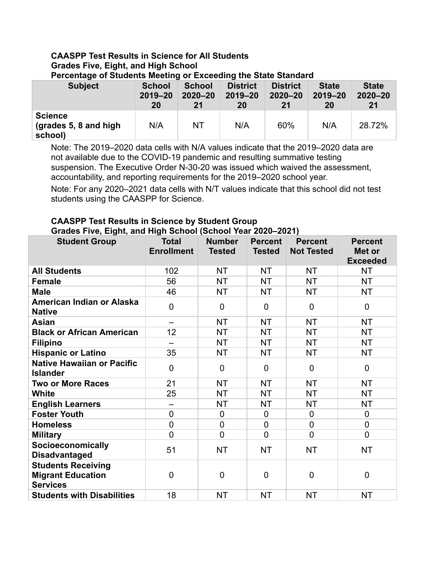# **CAASPP Test Results in Science for All Students Grades Five, Eight, and High School**

| <b>Subject</b>                                     | <b>School</b> | <b>School</b> | <b>District</b> | <b>District</b> | <b>State</b> | <b>State</b> |
|----------------------------------------------------|---------------|---------------|-----------------|-----------------|--------------|--------------|
|                                                    | $2019 - 20$   | $2020 - 20$   | $2019 - 20$     | $2020 - 20$     | $2019 - 20$  | $2020 - 20$  |
|                                                    | 20            | 21            | 20              | 21              | 20           | 21           |
| <b>Science</b><br>(grades 5, 8 and high<br>school) | N/A           | <b>NT</b>     | N/A             | 60%             | N/A          | 28.72%       |

**Percentage of Students Meeting or Exceeding the State Standard**

Note: The 2019–2020 data cells with N/A values indicate that the 2019–2020 data are not available due to the COVID-19 pandemic and resulting summative testing suspension. The Executive Order N-30-20 was issued which waived the assessment, accountability, and reporting requirements for the 2019–2020 school year.

Note: For any 2020–2021 data cells with N/T values indicate that this school did not test students using the CAASPP for Science.

### **CAASPP Test Results in Science by Student Group Grades Five, Eight, and High School (School Year 2020–2021)**

| <b>Student Group</b>                                                     | <b>Total</b>      | <b>Number</b>  | <b>Percent</b>   | <b>Percent</b>    | <b>Percent</b>            |
|--------------------------------------------------------------------------|-------------------|----------------|------------------|-------------------|---------------------------|
|                                                                          | <b>Enrollment</b> | <b>Tested</b>  | <b>Tested</b>    | <b>Not Tested</b> | Met or<br><b>Exceeded</b> |
| <b>All Students</b>                                                      | 102               | <b>NT</b>      | <b>NT</b>        | <b>NT</b>         | <b>NT</b>                 |
| <b>Female</b>                                                            | 56                | <b>NT</b>      | <b>NT</b>        | <b>NT</b>         | <b>NT</b>                 |
| <b>Male</b>                                                              | 46                | <b>NT</b>      | <b>NT</b>        | <b>NT</b>         | <b>NT</b>                 |
| American Indian or Alaska<br><b>Native</b>                               | $\mathbf 0$       | $\mathbf 0$    | $\mathbf 0$      | $\mathbf 0$       | $\mathbf 0$               |
| <b>Asian</b>                                                             |                   | <b>NT</b>      | <b>NT</b>        | <b>NT</b>         | <b>NT</b>                 |
| <b>Black or African American</b>                                         | 12                | <b>NT</b>      | <b>NT</b>        | <b>NT</b>         | <b>NT</b>                 |
| <b>Filipino</b>                                                          |                   | <b>NT</b>      | <b>NT</b>        | <b>NT</b>         | <b>NT</b>                 |
| <b>Hispanic or Latino</b>                                                | 35                | <b>NT</b>      | <b>NT</b>        | <b>NT</b>         | <b>NT</b>                 |
| <b>Native Hawaiian or Pacific</b><br><b>Islander</b>                     | $\overline{0}$    | $\overline{0}$ | $\overline{0}$   | $\overline{0}$    | $\mathbf 0$               |
| <b>Two or More Races</b>                                                 | 21                | <b>NT</b>      | <b>NT</b>        | <b>NT</b>         | <b>NT</b>                 |
| White                                                                    | 25                | <b>NT</b>      | <b>NT</b>        | <b>NT</b>         | <b>NT</b>                 |
| <b>English Learners</b>                                                  | —                 | <b>NT</b>      | <b>NT</b>        | <b>NT</b>         | <b>NT</b>                 |
| <b>Foster Youth</b>                                                      | $\overline{0}$    | $\overline{0}$ | 0                | $\overline{0}$    | $\overline{0}$            |
| <b>Homeless</b>                                                          | $\overline{0}$    | 0              | $\boldsymbol{0}$ | $\overline{0}$    | $\mathbf 0$               |
| <b>Military</b>                                                          | $\overline{0}$    | 0              | $\overline{0}$   | $\overline{0}$    | $\mathbf 0$               |
| Socioeconomically<br><b>Disadvantaged</b>                                | 51                | <b>NT</b>      | <b>NT</b>        | <b>NT</b>         | <b>NT</b>                 |
| <b>Students Receiving</b><br><b>Migrant Education</b><br><b>Services</b> | $\overline{0}$    | $\overline{0}$ | $\mathbf 0$      | $\overline{0}$    | $\mathbf 0$               |
| <b>Students with Disabilities</b>                                        | 18                | <b>NT</b>      | <b>NT</b>        | <b>NT</b>         | <b>NT</b>                 |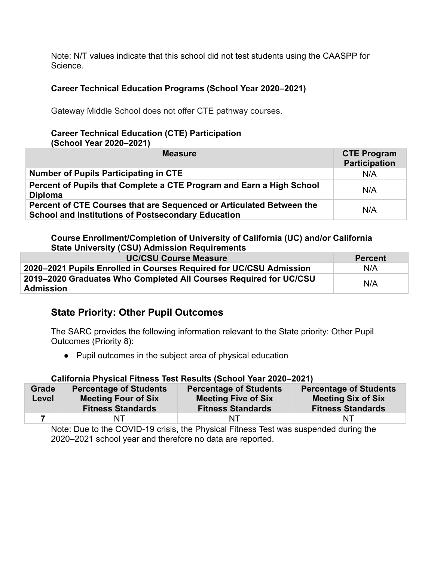Note: N/T values indicate that this school did not test students using the CAASPP for Science.

### **Career Technical Education Programs (School Year 2020–2021)**

Gateway Middle School does not offer CTE pathway courses.

# **Career Technical Education (CTE) Participation**

**(School Year 2020–2021)**

| <b>Measure</b>                                                                                                                    | <b>CTE Program</b><br><b>Participation</b> |
|-----------------------------------------------------------------------------------------------------------------------------------|--------------------------------------------|
| <b>Number of Pupils Participating in CTE</b>                                                                                      | N/A                                        |
| Percent of Pupils that Complete a CTE Program and Earn a High School<br><b>Diploma</b>                                            | N/A                                        |
| Percent of CTE Courses that are Sequenced or Articulated Between the<br><b>School and Institutions of Postsecondary Education</b> | N/A                                        |

**Course Enrollment/Completion of University of California (UC) and/or California State University (CSU) Admission Requirements**

| <b>UC/CSU Course Measure</b>                                                   | <b>Percent</b> |
|--------------------------------------------------------------------------------|----------------|
| 2020–2021 Pupils Enrolled in Courses Required for UC/CSU Admission             | N/A            |
| 2019–2020 Graduates Who Completed All Courses Required for UC/CSU<br>Admission | N/A            |

### **State Priority: Other Pupil Outcomes**

The SARC provides the following information relevant to the State priority: Other Pupil Outcomes (Priority 8):

**●** Pupil outcomes in the subject area of physical education

### **California Physical Fitness Test Results (School Year 2020–2021)**

| Grade | <b>Percentage of Students</b>                          | <b>Percentage of Students</b>                          | <b>Percentage of Students</b>                         |
|-------|--------------------------------------------------------|--------------------------------------------------------|-------------------------------------------------------|
| Level | <b>Meeting Four of Six</b><br><b>Fitness Standards</b> | <b>Meeting Five of Six</b><br><b>Fitness Standards</b> | <b>Meeting Six of Six</b><br><b>Fitness Standards</b> |
|       |                                                        |                                                        |                                                       |
|       | NT                                                     | NΤ                                                     | NT                                                    |

Note: Due to the COVID-19 crisis, the Physical Fitness Test was suspended during the 2020–2021 school year and therefore no data are reported.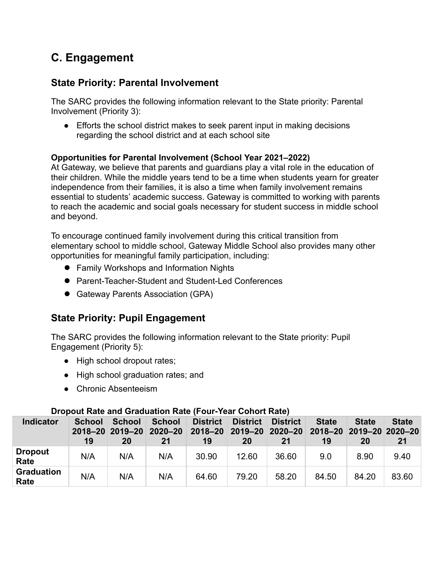# **C. Engagement**

### **State Priority: Parental Involvement**

The SARC provides the following information relevant to the State priority: Parental Involvement (Priority 3):

• Efforts the school district makes to seek parent input in making decisions regarding the school district and at each school site

### **Opportunities for Parental Involvement (School Year 2021–2022)**

At Gateway, we believe that parents and guardians play a vital role in the education of their children. While the middle years tend to be a time when students yearn for greater independence from their families, it is also a time when family involvement remains essential to students' academic success. Gateway is committed to working with parents to reach the academic and social goals necessary for student success in middle school and beyond.

To encourage continued family involvement during this critical transition from elementary school to middle school, Gateway Middle School also provides many other opportunities for meaningful family participation, including:

- Family Workshops and Information Nights
- Parent-Teacher-Student and Student-Led Conferences
- Gateway Parents Association (GPA)

### **State Priority: Pupil Engagement**

The SARC provides the following information relevant to the State priority: Pupil Engagement (Priority 5):

- High school dropout rates;
- High school graduation rates; and
- Chronic Absenteeism

| <b>Indicator</b>          | <u>Propout indictional Organisation indiction of the control indiction</u><br><b>School</b><br>19 | <b>School</b><br>2018-20 2019-20 2020-20<br>20 | <b>School</b><br>21 | <b>District</b><br>19 | <b>District</b><br>2018-20 2019-20 2020-20<br>20 | <b>District</b><br>21 | <b>State</b><br>2018-20 2019-20 2020-20<br>19 | <b>State</b><br>20 | <b>State</b><br>21 |
|---------------------------|---------------------------------------------------------------------------------------------------|------------------------------------------------|---------------------|-----------------------|--------------------------------------------------|-----------------------|-----------------------------------------------|--------------------|--------------------|
| <b>Dropout</b><br>Rate    | N/A                                                                                               | N/A                                            | N/A                 | 30.90                 | 12.60                                            | 36.60                 | 9.0                                           | 8.90               | 9.40               |
| <b>Graduation</b><br>Rate | N/A                                                                                               | N/A                                            | N/A                 | 64.60                 | 79.20                                            | 58.20                 | 84.50                                         | 84.20              | 83.60              |

### **Dropout Rate and Graduation Rate (Four-Year Cohort Rate)**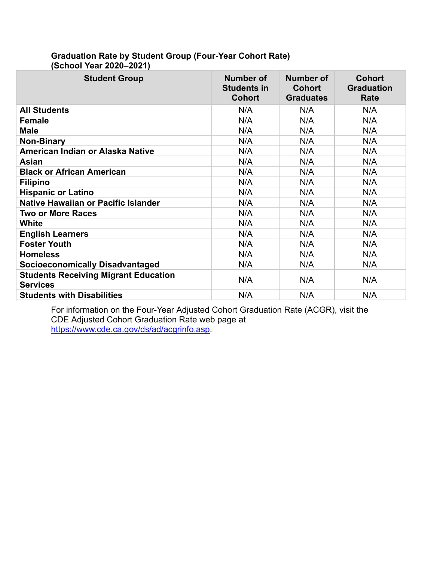| <b>Student Group</b>                                           | Number of<br><b>Students in</b><br><b>Cohort</b> | Number of<br><b>Cohort</b><br><b>Graduates</b> | <b>Cohort</b><br><b>Graduation</b><br>Rate |
|----------------------------------------------------------------|--------------------------------------------------|------------------------------------------------|--------------------------------------------|
| <b>All Students</b>                                            | N/A                                              | N/A                                            | N/A                                        |
| <b>Female</b>                                                  | N/A                                              | N/A                                            | N/A                                        |
| <b>Male</b>                                                    | N/A                                              | N/A                                            | N/A                                        |
| Non-Binary                                                     | N/A                                              | N/A                                            | N/A                                        |
| American Indian or Alaska Native                               | N/A                                              | N/A                                            | N/A                                        |
| Asian                                                          | N/A                                              | N/A                                            | N/A                                        |
| <b>Black or African American</b>                               | N/A                                              | N/A                                            | N/A                                        |
| <b>Filipino</b>                                                | N/A                                              | N/A                                            | N/A                                        |
| <b>Hispanic or Latino</b>                                      | N/A                                              | N/A                                            | N/A                                        |
| <b>Native Hawaiian or Pacific Islander</b>                     | N/A                                              | N/A                                            | N/A                                        |
| <b>Two or More Races</b>                                       | N/A                                              | N/A                                            | N/A                                        |
| <b>White</b>                                                   | N/A                                              | N/A                                            | N/A                                        |
| <b>English Learners</b>                                        | N/A                                              | N/A                                            | N/A                                        |
| <b>Foster Youth</b>                                            | N/A                                              | N/A                                            | N/A                                        |
| <b>Homeless</b>                                                | N/A                                              | N/A                                            | N/A                                        |
| <b>Socioeconomically Disadvantaged</b>                         | N/A                                              | N/A                                            | N/A                                        |
| <b>Students Receiving Migrant Education</b><br><b>Services</b> | N/A                                              | N/A                                            | N/A                                        |
| <b>Students with Disabilities</b>                              | N/A                                              | N/A                                            | N/A                                        |

### **Graduation Rate by Student Group (Four-Year Cohort Rate) (School Year 2020–2021)**

For information on the Four-Year Adjusted Cohort Graduation Rate (ACGR), visit the CDE Adjusted Cohort Graduation Rate web page at <https://www.cde.ca.gov/ds/ad/acgrinfo.asp>.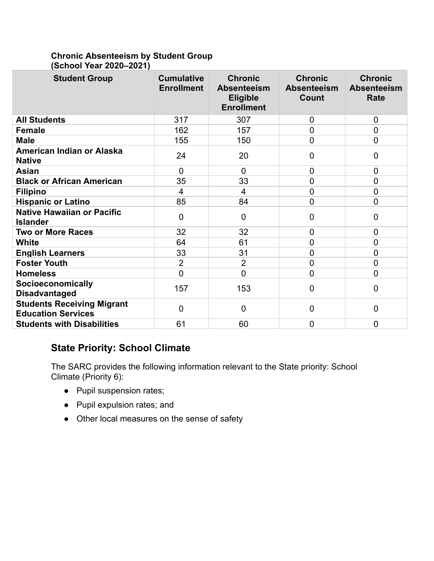### **Chronic Absenteeism by Student Group (School Year 2020–2021)**

| <b>Student Group</b>                                           | <b>Cumulative</b><br><b>Enrollment</b> | <b>Chronic</b><br><b>Absenteeism</b><br><b>Eligible</b><br><b>Enrollment</b> | <b>Chronic</b><br><b>Absenteeism</b><br>Count | <b>Chronic</b><br><b>Absenteeism</b><br>Rate |
|----------------------------------------------------------------|----------------------------------------|------------------------------------------------------------------------------|-----------------------------------------------|----------------------------------------------|
| <b>All Students</b>                                            | 317                                    | 307                                                                          | 0                                             | $\mathbf 0$                                  |
| <b>Female</b>                                                  | 162                                    | 157                                                                          | $\overline{0}$                                | $\overline{0}$                               |
| <b>Male</b>                                                    | 155                                    | 150                                                                          | $\overline{0}$                                | $\overline{0}$                               |
| American Indian or Alaska<br><b>Native</b>                     | 24                                     | 20                                                                           | $\overline{0}$                                | 0                                            |
| <b>Asian</b>                                                   | $\Omega$                               | $\Omega$                                                                     | $\overline{0}$                                | $\overline{0}$                               |
| <b>Black or African American</b>                               | 35                                     | 33                                                                           | 0                                             | $\overline{0}$                               |
| <b>Filipino</b>                                                | $\overline{4}$                         | $\overline{4}$                                                               | 0                                             | $\overline{0}$                               |
| <b>Hispanic or Latino</b>                                      | 85                                     | 84                                                                           | $\overline{0}$                                | $\overline{0}$                               |
| <b>Native Hawaiian or Pacific</b><br><b>Islander</b>           | $\overline{0}$                         | $\Omega$                                                                     | $\overline{0}$                                | $\overline{0}$                               |
| <b>Two or More Races</b>                                       | 32                                     | 32                                                                           | $\overline{0}$                                | $\overline{0}$                               |
| White                                                          | 64                                     | 61                                                                           | 0                                             | 0                                            |
| <b>English Learners</b>                                        | 33                                     | 31                                                                           | $\overline{0}$                                | 0                                            |
| <b>Foster Youth</b>                                            | $\overline{2}$                         | $\overline{2}$                                                               | $\overline{0}$                                | 0                                            |
| <b>Homeless</b>                                                | $\overline{0}$                         | $\Omega$                                                                     | $\overline{0}$                                | 0                                            |
| Socioeconomically<br><b>Disadvantaged</b>                      | 157                                    | 153                                                                          | 0                                             | 0                                            |
| <b>Students Receiving Migrant</b><br><b>Education Services</b> | $\overline{0}$                         | $\Omega$                                                                     | $\overline{0}$                                | $\overline{0}$                               |
| <b>Students with Disabilities</b>                              | 61                                     | 60                                                                           | 0                                             | 0                                            |

# **State Priority: School Climate**

The SARC provides the following information relevant to the State priority: School Climate (Priority 6):

- Pupil suspension rates;
- Pupil expulsion rates; and
- Other local measures on the sense of safety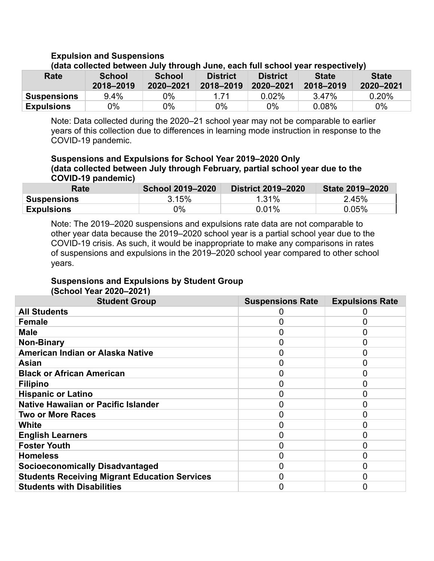### **Expulsion and Suspensions**

| inala collected between July through Julie, each full school year respectively. |                     |                            |                              |                              |                           |                           |  |  |
|---------------------------------------------------------------------------------|---------------------|----------------------------|------------------------------|------------------------------|---------------------------|---------------------------|--|--|
| Rate                                                                            | School<br>2018-2019 | <b>School</b><br>2020-2021 | <b>District</b><br>2018-2019 | <b>District</b><br>2020-2021 | <b>State</b><br>2018-2019 | <b>State</b><br>2020-2021 |  |  |
| <b>Suspensions</b>                                                              | $9.4\%$             | 0%                         | 1 71                         | $0.02\%$                     | 3.47%                     | $0.20\%$                  |  |  |
| <b>Expulsions</b>                                                               | 0%                  | 0%                         | $0\%$                        | 0%                           | $0.08\%$                  | $0\%$                     |  |  |

### **(data collected between July through June, each full school year respectively)**

Note: Data collected during the 2020–21 school year may not be comparable to earlier years of this collection due to differences in learning mode instruction in response to the COVID-19 pandemic.

#### **Suspensions and Expulsions for School Year 2019–2020 Only (data collected between July through February, partial school year due to the COVID-19 pandemic)**

| Rate               | <b>School 2019-2020</b> | <b>District 2019-2020</b> | State 2019-2020 |
|--------------------|-------------------------|---------------------------|-----------------|
| <b>Suspensions</b> | 3.15%                   | $1.31\%$                  | 2.45%           |
| <b>Expulsions</b>  | 0%                      | $0.01\%$                  | 0.05%           |

Note: The 2019–2020 suspensions and expulsions rate data are not comparable to other year data because the 2019–2020 school year is a partial school year due to the COVID-19 crisis. As such, it would be inappropriate to make any comparisons in rates of suspensions and expulsions in the 2019–2020 school year compared to other school years.

### **Suspensions and Expulsions by Student Group (School Year 2020–2021)**

| <b>Student Group</b>                                 | <b>Suspensions Rate</b> | <b>Expulsions Rate</b> |
|------------------------------------------------------|-------------------------|------------------------|
| <b>All Students</b>                                  |                         |                        |
| <b>Female</b>                                        |                         |                        |
| <b>Male</b>                                          |                         |                        |
| <b>Non-Binary</b>                                    |                         |                        |
| American Indian or Alaska Native                     |                         |                        |
| <b>Asian</b>                                         |                         |                        |
| <b>Black or African American</b>                     |                         |                        |
| <b>Filipino</b>                                      |                         |                        |
| <b>Hispanic or Latino</b>                            |                         |                        |
| <b>Native Hawaiian or Pacific Islander</b>           |                         |                        |
| <b>Two or More Races</b>                             |                         |                        |
| White                                                |                         |                        |
| <b>English Learners</b>                              |                         |                        |
| <b>Foster Youth</b>                                  | O                       |                        |
| <b>Homeless</b>                                      | 0                       |                        |
| <b>Socioeconomically Disadvantaged</b>               | 0                       |                        |
| <b>Students Receiving Migrant Education Services</b> |                         |                        |
| <b>Students with Disabilities</b>                    |                         |                        |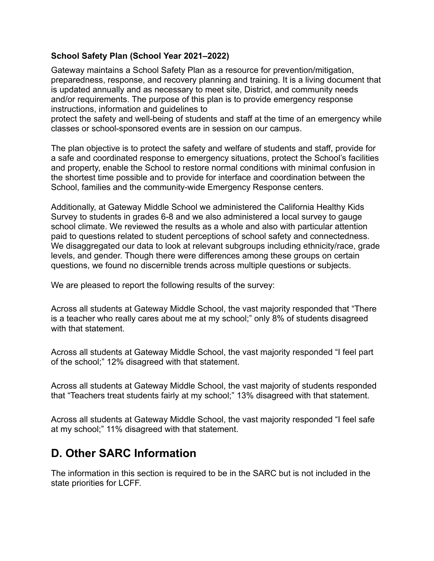### **School Safety Plan (School Year 2021–2022)**

Gateway maintains a School Safety Plan as a resource for prevention/mitigation, preparedness, response, and recovery planning and training. It is a living document that is updated annually and as necessary to meet site, District, and community needs and/or requirements. The purpose of this plan is to provide emergency response instructions, information and guidelines to

protect the safety and well-being of students and staff at the time of an emergency while classes or school-sponsored events are in session on our campus.

The plan objective is to protect the safety and welfare of students and staff, provide for a safe and coordinated response to emergency situations, protect the School's facilities and property, enable the School to restore normal conditions with minimal confusion in the shortest time possible and to provide for interface and coordination between the School, families and the community-wide Emergency Response centers.

Additionally, at Gateway Middle School we administered the California Healthy Kids Survey to students in grades 6-8 and we also administered a local survey to gauge school climate. We reviewed the results as a whole and also with particular attention paid to questions related to student perceptions of school safety and connectedness. We disaggregated our data to look at relevant subgroups including ethnicity/race, grade levels, and gender. Though there were differences among these groups on certain questions, we found no discernible trends across multiple questions or subjects.

We are pleased to report the following results of the survey:

Across all students at Gateway Middle School, the vast majority responded that "There is a teacher who really cares about me at my school;" only 8% of students disagreed with that statement.

Across all students at Gateway Middle School, the vast majority responded "I feel part of the school;" 12% disagreed with that statement.

Across all students at Gateway Middle School, the vast majority of students responded that "Teachers treat students fairly at my school;" 13% disagreed with that statement.

Across all students at Gateway Middle School, the vast majority responded "I feel safe at my school;" 11% disagreed with that statement.

# **D. Other SARC Information**

The information in this section is required to be in the SARC but is not included in the state priorities for LCFF.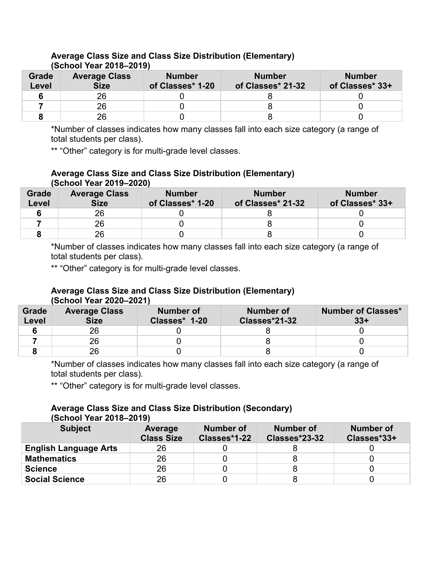#### **Grade Level Average Class Size Number of Classes\* 1-20 Number of Classes\* 21-32 Number of Classes\* 33+ 6** 26 0 8 0 **7** 26 0 8 0 **8** 26 0 8 0

### **Average Class Size and Class Size Distribution (Elementary) (School Year 2018–2019)**

\*Number of classes indicates how many classes fall into each size category (a range of total students per class).

\*\* "Other" category is for multi-grade level classes.

### **Average Class Size and Class Size Distribution (Elementary) (School Year 2019–2020)**

| Grade<br>Level | <b>Average Class</b><br><b>Size</b> | <b>Number</b><br>of Classes* 1-20 | <b>Number</b><br>of Classes* 21-32 | <b>Number</b><br>of Classes* 33+ |
|----------------|-------------------------------------|-----------------------------------|------------------------------------|----------------------------------|
|                | 26                                  |                                   |                                    |                                  |
|                | 26                                  |                                   |                                    |                                  |
|                | 26                                  |                                   |                                    |                                  |

\*Number of classes indicates how many classes fall into each size category (a range of total students per class).

\*\* "Other" category is for multi-grade level classes.

### **Average Class Size and Class Size Distribution (Elementary) (School Year 2020–2021)**

| Grade<br><b>Level</b> | <b>Average Class</b><br><b>Size</b> | Number of<br>Classes* 1-20 | Number of<br>Classes*21-32 | <b>Number of Classes*</b><br>$33+$ |
|-----------------------|-------------------------------------|----------------------------|----------------------------|------------------------------------|
|                       | 26                                  |                            |                            |                                    |
|                       | 26                                  |                            |                            |                                    |
|                       | 26                                  |                            |                            |                                    |

\*Number of classes indicates how many classes fall into each size category (a range of total students per class).

\*\* "Other" category is for multi-grade level classes.

#### **Average Class Size and Class Size Distribution (Secondary) (School Year 2018–2019)**

| <b>Subject</b>               | Average<br><b>Class Size</b> | <b>Number of</b><br>Classes*1-22 | <b>Number of</b><br>Classes*23-32 | Number of<br>Classes*33+ |
|------------------------------|------------------------------|----------------------------------|-----------------------------------|--------------------------|
| <b>English Language Arts</b> | 26                           |                                  |                                   |                          |
| <b>Mathematics</b>           | 26                           |                                  |                                   |                          |
| <b>Science</b>               | 26                           |                                  |                                   |                          |
| <b>Social Science</b>        | 26                           |                                  |                                   |                          |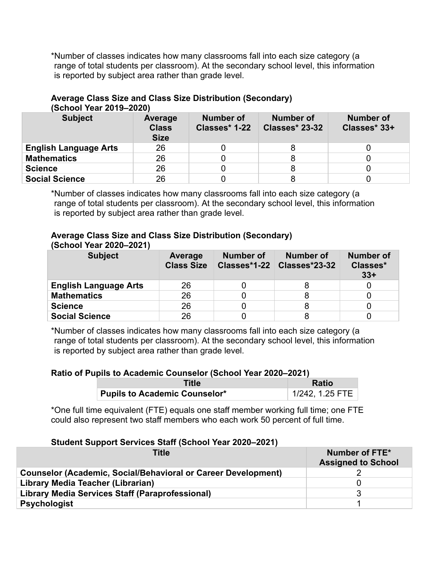\*Number of classes indicates how many classrooms fall into each size category (a range of total students per classroom). At the secondary school level, this information is reported by subject area rather than grade level.

| (SCNOOI YEAR 2019–2020)      |                                        |                            |                                    |                           |  |  |
|------------------------------|----------------------------------------|----------------------------|------------------------------------|---------------------------|--|--|
| <b>Subject</b>               | Average<br><b>Class</b><br><b>Size</b> | Number of<br>Classes* 1-22 | Number of<br><b>Classes* 23-32</b> | Number of<br>Classes* 33+ |  |  |
| <b>English Language Arts</b> | 26                                     |                            | 8                                  |                           |  |  |
| <b>Mathematics</b>           | 26                                     |                            | 8                                  |                           |  |  |
| <b>Science</b>               | 26                                     |                            | 8                                  |                           |  |  |
| <b>Social Science</b>        | 26                                     |                            |                                    |                           |  |  |

#### **Average Class Size and Class Size Distribution (Secondary)**  $(0.8018, 0.808)$

\*Number of classes indicates how many classrooms fall into each size category (a range of total students per classroom). At the secondary school level, this information is reported by subject area rather than grade level.

### **Average Class Size and Class Size Distribution (Secondary) (School Year 2020–2021)**

| <b>Subject</b>               | Average<br><b>Class Size</b> | Number of | Number of<br>Classes*1-22 Classes*23-32 | <b>Number of</b><br>Classes*<br>$33+$ |
|------------------------------|------------------------------|-----------|-----------------------------------------|---------------------------------------|
| <b>English Language Arts</b> | 26                           |           |                                         |                                       |
| <b>Mathematics</b>           | 26                           |           |                                         |                                       |
| <b>Science</b>               | 26                           |           |                                         |                                       |
| <b>Social Science</b>        | 26                           |           |                                         |                                       |

\*Number of classes indicates how many classrooms fall into each size category (a range of total students per classroom). At the secondary school level, this information is reported by subject area rather than grade level.

### **Ratio of Pupils to Academic Counselor (School Year 2020–2021)**

| Title                                | <b>Ratio</b>    |  |
|--------------------------------------|-----------------|--|
| <b>Pupils to Academic Counselor*</b> | 1/242, 1.25 FTE |  |

\*One full time equivalent (FTE) equals one staff member working full time; one FTE could also represent two staff members who each work 50 percent of full time.

### **Student Support Services Staff (School Year 2020–2021)**

| <b>Title</b>                                                         | Number of FTE*<br><b>Assigned to School</b> |
|----------------------------------------------------------------------|---------------------------------------------|
| <b>Counselor (Academic, Social/Behavioral or Career Development)</b> |                                             |
| Library Media Teacher (Librarian)                                    |                                             |
| Library Media Services Staff (Paraprofessional)                      |                                             |
| <b>Psychologist</b>                                                  |                                             |